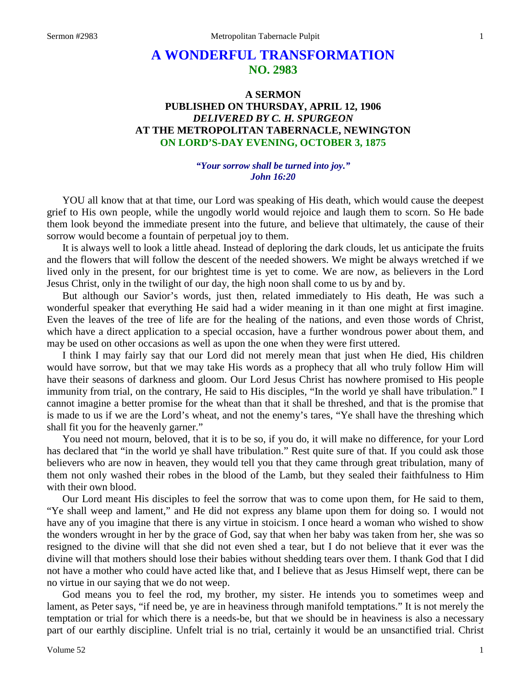# **A WONDERFUL TRANSFORMATION NO. 2983**

## **A SERMON PUBLISHED ON THURSDAY, APRIL 12, 1906** *DELIVERED BY C. H. SPURGEON* **AT THE METROPOLITAN TABERNACLE, NEWINGTON ON LORD'S-DAY EVENING, OCTOBER 3, 1875**

### *"Your sorrow shall be turned into joy." John 16:20*

YOU all know that at that time, our Lord was speaking of His death, which would cause the deepest grief to His own people, while the ungodly world would rejoice and laugh them to scorn. So He bade them look beyond the immediate present into the future, and believe that ultimately, the cause of their sorrow would become a fountain of perpetual joy to them.

It is always well to look a little ahead. Instead of deploring the dark clouds, let us anticipate the fruits and the flowers that will follow the descent of the needed showers. We might be always wretched if we lived only in the present, for our brightest time is yet to come. We are now, as believers in the Lord Jesus Christ, only in the twilight of our day, the high noon shall come to us by and by.

But although our Savior's words, just then, related immediately to His death, He was such a wonderful speaker that everything He said had a wider meaning in it than one might at first imagine. Even the leaves of the tree of life are for the healing of the nations, and even those words of Christ, which have a direct application to a special occasion, have a further wondrous power about them, and may be used on other occasions as well as upon the one when they were first uttered.

I think I may fairly say that our Lord did not merely mean that just when He died, His children would have sorrow, but that we may take His words as a prophecy that all who truly follow Him will have their seasons of darkness and gloom. Our Lord Jesus Christ has nowhere promised to His people immunity from trial, on the contrary, He said to His disciples, "In the world ye shall have tribulation." I cannot imagine a better promise for the wheat than that it shall be threshed, and that is the promise that is made to us if we are the Lord's wheat, and not the enemy's tares, "Ye shall have the threshing which shall fit you for the heavenly garner."

You need not mourn, beloved, that it is to be so, if you do, it will make no difference, for your Lord has declared that "in the world ye shall have tribulation." Rest quite sure of that. If you could ask those believers who are now in heaven, they would tell you that they came through great tribulation, many of them not only washed their robes in the blood of the Lamb, but they sealed their faithfulness to Him with their own blood.

Our Lord meant His disciples to feel the sorrow that was to come upon them, for He said to them, "Ye shall weep and lament," and He did not express any blame upon them for doing so. I would not have any of you imagine that there is any virtue in stoicism. I once heard a woman who wished to show the wonders wrought in her by the grace of God, say that when her baby was taken from her, she was so resigned to the divine will that she did not even shed a tear, but I do not believe that it ever was the divine will that mothers should lose their babies without shedding tears over them. I thank God that I did not have a mother who could have acted like that, and I believe that as Jesus Himself wept, there can be no virtue in our saying that we do not weep.

God means you to feel the rod, my brother, my sister. He intends you to sometimes weep and lament, as Peter says, "if need be, ye are in heaviness through manifold temptations." It is not merely the temptation or trial for which there is a needs-be, but that we should be in heaviness is also a necessary part of our earthly discipline. Unfelt trial is no trial, certainly it would be an unsanctified trial. Christ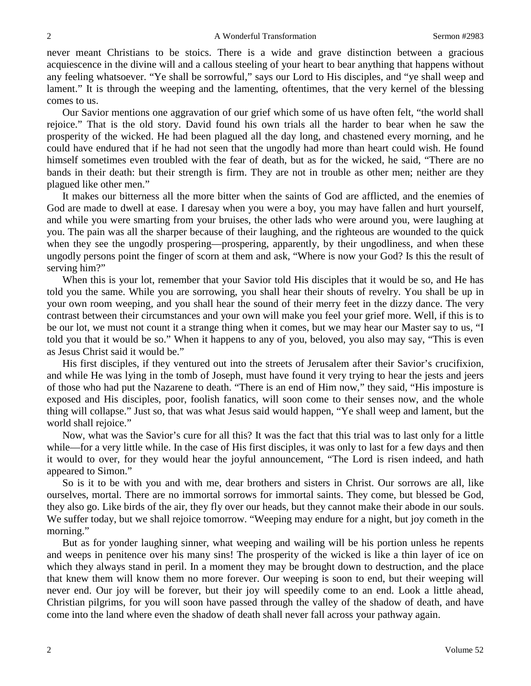never meant Christians to be stoics. There is a wide and grave distinction between a gracious acquiescence in the divine will and a callous steeling of your heart to bear anything that happens without any feeling whatsoever. "Ye shall be sorrowful," says our Lord to His disciples, and "ye shall weep and lament." It is through the weeping and the lamenting, oftentimes, that the very kernel of the blessing comes to us.

Our Savior mentions one aggravation of our grief which some of us have often felt, "the world shall rejoice." That is the old story. David found his own trials all the harder to bear when he saw the prosperity of the wicked. He had been plagued all the day long, and chastened every morning, and he could have endured that if he had not seen that the ungodly had more than heart could wish. He found himself sometimes even troubled with the fear of death, but as for the wicked, he said, "There are no bands in their death: but their strength is firm. They are not in trouble as other men; neither are they plagued like other men."

It makes our bitterness all the more bitter when the saints of God are afflicted, and the enemies of God are made to dwell at ease. I daresay when you were a boy, you may have fallen and hurt yourself, and while you were smarting from your bruises, the other lads who were around you, were laughing at you. The pain was all the sharper because of their laughing, and the righteous are wounded to the quick when they see the ungodly prospering—prospering, apparently, by their ungodliness, and when these ungodly persons point the finger of scorn at them and ask, "Where is now your God? Is this the result of serving him?"

When this is your lot, remember that your Savior told His disciples that it would be so, and He has told you the same. While you are sorrowing, you shall hear their shouts of revelry. You shall be up in your own room weeping, and you shall hear the sound of their merry feet in the dizzy dance. The very contrast between their circumstances and your own will make you feel your grief more. Well, if this is to be our lot, we must not count it a strange thing when it comes, but we may hear our Master say to us, "I told you that it would be so." When it happens to any of you, beloved, you also may say, "This is even as Jesus Christ said it would be."

His first disciples, if they ventured out into the streets of Jerusalem after their Savior's crucifixion, and while He was lying in the tomb of Joseph, must have found it very trying to hear the jests and jeers of those who had put the Nazarene to death. "There is an end of Him now," they said, "His imposture is exposed and His disciples, poor, foolish fanatics, will soon come to their senses now, and the whole thing will collapse." Just so, that was what Jesus said would happen, "Ye shall weep and lament, but the world shall rejoice."

Now, what was the Savior's cure for all this? It was the fact that this trial was to last only for a little while—for a very little while. In the case of His first disciples, it was only to last for a few days and then it would to over, for they would hear the joyful announcement, "The Lord is risen indeed, and hath appeared to Simon."

So is it to be with you and with me, dear brothers and sisters in Christ. Our sorrows are all, like ourselves, mortal. There are no immortal sorrows for immortal saints. They come, but blessed be God, they also go. Like birds of the air, they fly over our heads, but they cannot make their abode in our souls. We suffer today, but we shall rejoice tomorrow. "Weeping may endure for a night, but joy cometh in the morning."

But as for yonder laughing sinner, what weeping and wailing will be his portion unless he repents and weeps in penitence over his many sins! The prosperity of the wicked is like a thin layer of ice on which they always stand in peril. In a moment they may be brought down to destruction, and the place that knew them will know them no more forever. Our weeping is soon to end, but their weeping will never end. Our joy will be forever, but their joy will speedily come to an end. Look a little ahead, Christian pilgrims, for you will soon have passed through the valley of the shadow of death, and have come into the land where even the shadow of death shall never fall across your pathway again.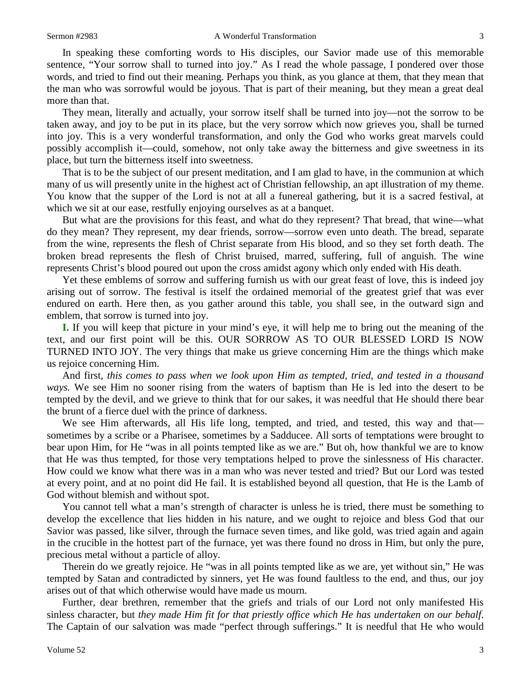In speaking these comforting words to His disciples, our Savior made use of this memorable sentence, "Your sorrow shall to turned into joy." As I read the whole passage, I pondered over those words, and tried to find out their meaning. Perhaps you think, as you glance at them, that they mean that the man who was sorrowful would be joyous. That is part of their meaning, but they mean a great deal more than that.

They mean, literally and actually, your sorrow itself shall be turned into joy—not the sorrow to be taken away, and joy to be put in its place, but the very sorrow which now grieves you, shall be turned into joy. This is a very wonderful transformation, and only the God who works great marvels could possibly accomplish it—could, somehow, not only take away the bitterness and give sweetness in its place, but turn the bitterness itself into sweetness.

That is to be the subject of our present meditation, and I am glad to have, in the communion at which many of us will presently unite in the highest act of Christian fellowship, an apt illustration of my theme. You know that the supper of the Lord is not at all a funereal gathering, but it is a sacred festival, at which we sit at our ease, restfully enjoying ourselves as at a banquet.

But what are the provisions for this feast, and what do they represent? That bread, that wine—what do they mean? They represent, my dear friends, sorrow—sorrow even unto death. The bread, separate from the wine, represents the flesh of Christ separate from His blood, and so they set forth death. The broken bread represents the flesh of Christ bruised, marred, suffering, full of anguish. The wine represents Christ's blood poured out upon the cross amidst agony which only ended with His death.

Yet these emblems of sorrow and suffering furnish us with our great feast of love, this is indeed joy arising out of sorrow. The festival is itself the ordained memorial of the greatest grief that was ever endured on earth. Here then, as you gather around this table, you shall see, in the outward sign and emblem, that sorrow is turned into joy.

**I.** If you will keep that picture in your mind's eye, it will help me to bring out the meaning of the text, and our first point will be this. OUR SORROW AS TO OUR BLESSED LORD IS NOW TURNED INTO JOY. The very things that make us grieve concerning Him are the things which make us rejoice concerning Him.

And first, *this comes to pass when we look upon Him as tempted, tried, and tested in a thousand ways.* We see Him no sooner rising from the waters of baptism than He is led into the desert to be tempted by the devil, and we grieve to think that for our sakes, it was needful that He should there bear the brunt of a fierce duel with the prince of darkness.

We see Him afterwards, all His life long, tempted, and tried, and tested, this way and that sometimes by a scribe or a Pharisee, sometimes by a Sadducee. All sorts of temptations were brought to bear upon Him, for He "was in all points tempted like as we are." But oh, how thankful we are to know that He was thus tempted, for those very temptations helped to prove the sinlessness of His character. How could we know what there was in a man who was never tested and tried? But our Lord was tested at every point, and at no point did He fail. It is established beyond all question, that He is the Lamb of God without blemish and without spot.

You cannot tell what a man's strength of character is unless he is tried, there must be something to develop the excellence that lies hidden in his nature, and we ought to rejoice and bless God that our Savior was passed, like silver, through the furnace seven times, and like gold, was tried again and again in the crucible in the hottest part of the furnace, yet was there found no dross in Him, but only the pure, precious metal without a particle of alloy.

Therein do we greatly rejoice. He "was in all points tempted like as we are, yet without sin," He was tempted by Satan and contradicted by sinners, yet He was found faultless to the end, and thus, our joy arises out of that which otherwise would have made us mourn.

Further, dear brethren, remember that the griefs and trials of our Lord not only manifested His sinless character, but *they made Him fit for that priestly office which He has undertaken on our behalf*. The Captain of our salvation was made "perfect through sufferings." It is needful that He who would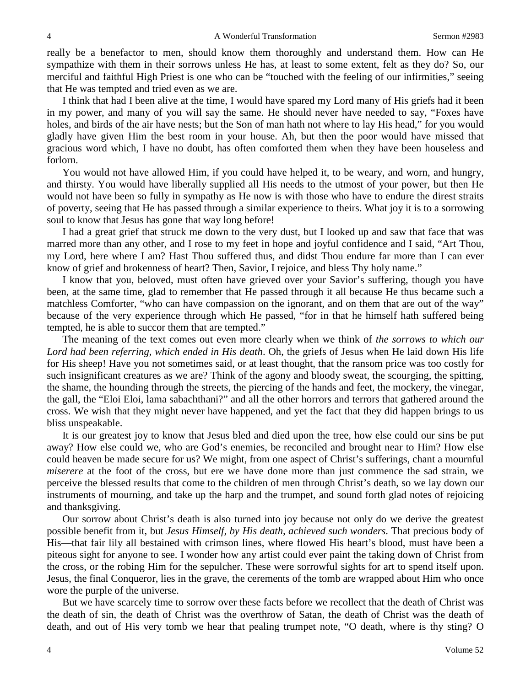really be a benefactor to men, should know them thoroughly and understand them. How can He sympathize with them in their sorrows unless He has, at least to some extent, felt as they do? So, our merciful and faithful High Priest is one who can be "touched with the feeling of our infirmities," seeing that He was tempted and tried even as we are.

I think that had I been alive at the time, I would have spared my Lord many of His griefs had it been in my power, and many of you will say the same. He should never have needed to say, "Foxes have holes, and birds of the air have nests; but the Son of man hath not where to lay His head," for you would gladly have given Him the best room in your house. Ah, but then the poor would have missed that gracious word which, I have no doubt, has often comforted them when they have been houseless and forlorn.

You would not have allowed Him, if you could have helped it, to be weary, and worn, and hungry, and thirsty. You would have liberally supplied all His needs to the utmost of your power, but then He would not have been so fully in sympathy as He now is with those who have to endure the direst straits of poverty, seeing that He has passed through a similar experience to theirs. What joy it is to a sorrowing soul to know that Jesus has gone that way long before!

I had a great grief that struck me down to the very dust, but I looked up and saw that face that was marred more than any other, and I rose to my feet in hope and joyful confidence and I said, "Art Thou, my Lord, here where I am? Hast Thou suffered thus, and didst Thou endure far more than I can ever know of grief and brokenness of heart? Then, Savior, I rejoice, and bless Thy holy name."

I know that you, beloved, must often have grieved over your Savior's suffering, though you have been, at the same time, glad to remember that He passed through it all because He thus became such a matchless Comforter, "who can have compassion on the ignorant, and on them that are out of the way" because of the very experience through which He passed, "for in that he himself hath suffered being tempted, he is able to succor them that are tempted."

The meaning of the text comes out even more clearly when we think of *the sorrows to which our Lord had been referring, which ended in His death*. Oh, the griefs of Jesus when He laid down His life for His sheep! Have you not sometimes said, or at least thought, that the ransom price was too costly for such insignificant creatures as we are? Think of the agony and bloody sweat, the scourging, the spitting, the shame, the hounding through the streets, the piercing of the hands and feet, the mockery, the vinegar, the gall, the "Eloi Eloi, lama sabachthani?" and all the other horrors and terrors that gathered around the cross. We wish that they might never have happened, and yet the fact that they did happen brings to us bliss unspeakable.

It is our greatest joy to know that Jesus bled and died upon the tree, how else could our sins be put away? How else could we, who are God's enemies, be reconciled and brought near to Him? How else could heaven be made secure for us? We might, from one aspect of Christ's sufferings, chant a mournful *miserere* at the foot of the cross, but ere we have done more than just commence the sad strain, we perceive the blessed results that come to the children of men through Christ's death, so we lay down our instruments of mourning, and take up the harp and the trumpet, and sound forth glad notes of rejoicing and thanksgiving.

Our sorrow about Christ's death is also turned into joy because not only do we derive the greatest possible benefit from it, but *Jesus Himself, by His death, achieved such wonders*. That precious body of His—that fair lily all bestained with crimson lines, where flowed His heart's blood, must have been a piteous sight for anyone to see. I wonder how any artist could ever paint the taking down of Christ from the cross, or the robing Him for the sepulcher. These were sorrowful sights for art to spend itself upon. Jesus, the final Conqueror, lies in the grave, the cerements of the tomb are wrapped about Him who once wore the purple of the universe.

But we have scarcely time to sorrow over these facts before we recollect that the death of Christ was the death of sin, the death of Christ was the overthrow of Satan, the death of Christ was the death of death, and out of His very tomb we hear that pealing trumpet note, "O death, where is thy sting? O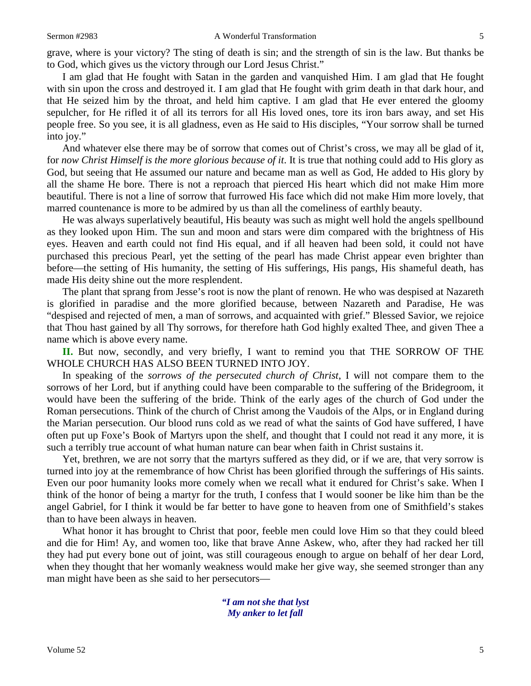grave, where is your victory? The sting of death is sin; and the strength of sin is the law. But thanks be to God, which gives us the victory through our Lord Jesus Christ."

I am glad that He fought with Satan in the garden and vanquished Him. I am glad that He fought with sin upon the cross and destroyed it. I am glad that He fought with grim death in that dark hour, and that He seized him by the throat, and held him captive. I am glad that He ever entered the gloomy sepulcher, for He rifled it of all its terrors for all His loved ones, tore its iron bars away, and set His people free. So you see, it is all gladness, even as He said to His disciples, "Your sorrow shall be turned into joy."

And whatever else there may be of sorrow that comes out of Christ's cross, we may all be glad of it, for *now Christ Himself is the more glorious because of it*. It is true that nothing could add to His glory as God, but seeing that He assumed our nature and became man as well as God, He added to His glory by all the shame He bore. There is not a reproach that pierced His heart which did not make Him more beautiful. There is not a line of sorrow that furrowed His face which did not make Him more lovely, that marred countenance is more to be admired by us than all the comeliness of earthly beauty.

He was always superlatively beautiful, His beauty was such as might well hold the angels spellbound as they looked upon Him. The sun and moon and stars were dim compared with the brightness of His eyes. Heaven and earth could not find His equal, and if all heaven had been sold, it could not have purchased this precious Pearl, yet the setting of the pearl has made Christ appear even brighter than before—the setting of His humanity, the setting of His sufferings, His pangs, His shameful death, has made His deity shine out the more resplendent.

The plant that sprang from Jesse's root is now the plant of renown. He who was despised at Nazareth is glorified in paradise and the more glorified because, between Nazareth and Paradise, He was "despised and rejected of men, a man of sorrows, and acquainted with grief." Blessed Savior, we rejoice that Thou hast gained by all Thy sorrows, for therefore hath God highly exalted Thee, and given Thee a name which is above every name.

**II.** But now, secondly, and very briefly, I want to remind you that THE SORROW OF THE WHOLE CHURCH HAS ALSO BEEN TURNED INTO JOY.

In speaking of the *sorrows of the persecuted church of Christ*, I will not compare them to the sorrows of her Lord, but if anything could have been comparable to the suffering of the Bridegroom, it would have been the suffering of the bride. Think of the early ages of the church of God under the Roman persecutions. Think of the church of Christ among the Vaudois of the Alps, or in England during the Marian persecution. Our blood runs cold as we read of what the saints of God have suffered, I have often put up Foxe's Book of Martyrs upon the shelf, and thought that I could not read it any more, it is such a terribly true account of what human nature can bear when faith in Christ sustains it.

Yet, brethren, we are not sorry that the martyrs suffered as they did, or if we are, that very sorrow is turned into joy at the remembrance of how Christ has been glorified through the sufferings of His saints. Even our poor humanity looks more comely when we recall what it endured for Christ's sake. When I think of the honor of being a martyr for the truth, I confess that I would sooner be like him than be the angel Gabriel, for I think it would be far better to have gone to heaven from one of Smithfield's stakes than to have been always in heaven.

What honor it has brought to Christ that poor, feeble men could love Him so that they could bleed and die for Him! Ay, and women too, like that brave Anne Askew, who, after they had racked her till they had put every bone out of joint, was still courageous enough to argue on behalf of her dear Lord, when they thought that her womanly weakness would make her give way, she seemed stronger than any man might have been as she said to her persecutors—

> *"I am not she that lyst My anker to let fall*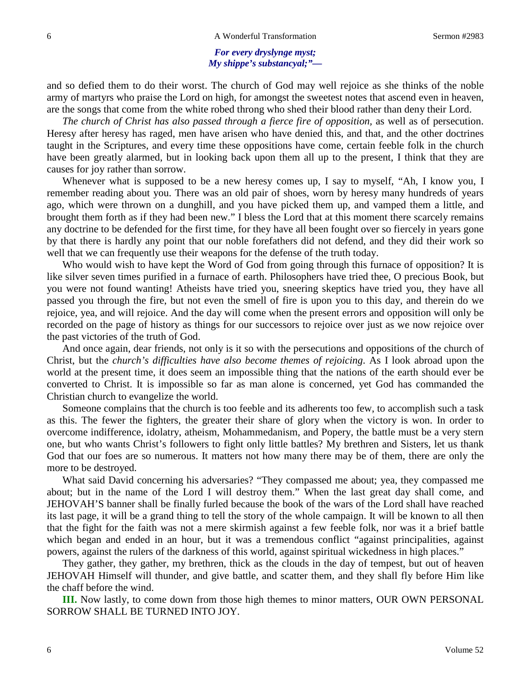#### *For every dryslynge myst; My shippe's substancyal;"—*

and so defied them to do their worst. The church of God may well rejoice as she thinks of the noble army of martyrs who praise the Lord on high, for amongst the sweetest notes that ascend even in heaven, are the songs that come from the white robed throng who shed their blood rather than deny their Lord.

*The church of Christ has also passed through a fierce fire of opposition,* as well as of persecution. Heresy after heresy has raged, men have arisen who have denied this, and that, and the other doctrines taught in the Scriptures, and every time these oppositions have come, certain feeble folk in the church have been greatly alarmed, but in looking back upon them all up to the present, I think that they are causes for joy rather than sorrow.

Whenever what is supposed to be a new heresy comes up, I say to myself, "Ah, I know you, I remember reading about you. There was an old pair of shoes, worn by heresy many hundreds of years ago, which were thrown on a dunghill, and you have picked them up, and vamped them a little, and brought them forth as if they had been new." I bless the Lord that at this moment there scarcely remains any doctrine to be defended for the first time, for they have all been fought over so fiercely in years gone by that there is hardly any point that our noble forefathers did not defend, and they did their work so well that we can frequently use their weapons for the defense of the truth today.

Who would wish to have kept the Word of God from going through this furnace of opposition? It is like silver seven times purified in a furnace of earth. Philosophers have tried thee, O precious Book, but you were not found wanting! Atheists have tried you, sneering skeptics have tried you, they have all passed you through the fire, but not even the smell of fire is upon you to this day, and therein do we rejoice, yea, and will rejoice. And the day will come when the present errors and opposition will only be recorded on the page of history as things for our successors to rejoice over just as we now rejoice over the past victories of the truth of God.

And once again, dear friends, not only is it so with the persecutions and oppositions of the church of Christ, but the *church's difficulties have also become themes of rejoicing*. As I look abroad upon the world at the present time, it does seem an impossible thing that the nations of the earth should ever be converted to Christ. It is impossible so far as man alone is concerned, yet God has commanded the Christian church to evangelize the world.

Someone complains that the church is too feeble and its adherents too few, to accomplish such a task as this. The fewer the fighters, the greater their share of glory when the victory is won. In order to overcome indifference, idolatry, atheism, Mohammedanism, and Popery, the battle must be a very stern one, but who wants Christ's followers to fight only little battles? My brethren and Sisters, let us thank God that our foes are so numerous. It matters not how many there may be of them, there are only the more to be destroyed.

What said David concerning his adversaries? "They compassed me about; yea, they compassed me about; but in the name of the Lord I will destroy them." When the last great day shall come, and JEHOVAH'S banner shall be finally furled because the book of the wars of the Lord shall have reached its last page, it will be a grand thing to tell the story of the whole campaign. It will be known to all then that the fight for the faith was not a mere skirmish against a few feeble folk, nor was it a brief battle which began and ended in an hour, but it was a tremendous conflict "against principalities, against powers, against the rulers of the darkness of this world, against spiritual wickedness in high places."

They gather, they gather, my brethren, thick as the clouds in the day of tempest, but out of heaven JEHOVAH Himself will thunder, and give battle, and scatter them, and they shall fly before Him like the chaff before the wind.

**III.** Now lastly, to come down from those high themes to minor matters, OUR OWN PERSONAL SORROW SHALL BE TURNED INTO JOY.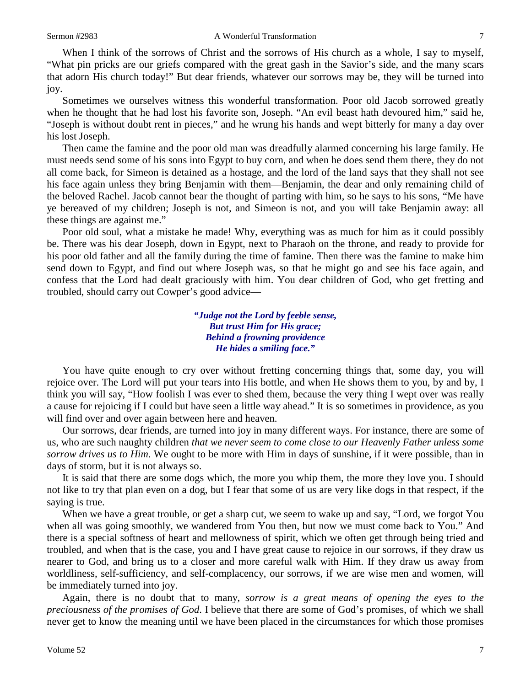When I think of the sorrows of Christ and the sorrows of His church as a whole, I say to myself, "What pin pricks are our griefs compared with the great gash in the Savior's side, and the many scars that adorn His church today!" But dear friends, whatever our sorrows may be, they will be turned into joy.

Sometimes we ourselves witness this wonderful transformation. Poor old Jacob sorrowed greatly when he thought that he had lost his favorite son, Joseph. "An evil beast hath devoured him," said he, "Joseph is without doubt rent in pieces," and he wrung his hands and wept bitterly for many a day over his lost Joseph.

Then came the famine and the poor old man was dreadfully alarmed concerning his large family. He must needs send some of his sons into Egypt to buy corn, and when he does send them there, they do not all come back, for Simeon is detained as a hostage, and the lord of the land says that they shall not see his face again unless they bring Benjamin with them—Benjamin, the dear and only remaining child of the beloved Rachel. Jacob cannot bear the thought of parting with him, so he says to his sons, "Me have ye bereaved of my children; Joseph is not, and Simeon is not, and you will take Benjamin away: all these things are against me."

Poor old soul, what a mistake he made! Why, everything was as much for him as it could possibly be. There was his dear Joseph, down in Egypt, next to Pharaoh on the throne, and ready to provide for his poor old father and all the family during the time of famine. Then there was the famine to make him send down to Egypt, and find out where Joseph was, so that he might go and see his face again, and confess that the Lord had dealt graciously with him. You dear children of God, who get fretting and troubled, should carry out Cowper's good advice—

> *"Judge not the Lord by feeble sense, But trust Him for His grace; Behind a frowning providence He hides a smiling face."*

You have quite enough to cry over without fretting concerning things that, some day, you will rejoice over. The Lord will put your tears into His bottle, and when He shows them to you, by and by, I think you will say, "How foolish I was ever to shed them, because the very thing I wept over was really a cause for rejoicing if I could but have seen a little way ahead." It is so sometimes in providence, as you will find over and over again between here and heaven.

Our sorrows, dear friends, are turned into joy in many different ways. For instance, there are some of us, who are such naughty children *that we never seem to come close to our Heavenly Father unless some sorrow drives us to Him*. We ought to be more with Him in days of sunshine, if it were possible, than in days of storm, but it is not always so.

It is said that there are some dogs which, the more you whip them, the more they love you. I should not like to try that plan even on a dog, but I fear that some of us are very like dogs in that respect, if the saying is true.

When we have a great trouble, or get a sharp cut, we seem to wake up and say, "Lord, we forgot You when all was going smoothly, we wandered from You then, but now we must come back to You." And there is a special softness of heart and mellowness of spirit, which we often get through being tried and troubled, and when that is the case, you and I have great cause to rejoice in our sorrows, if they draw us nearer to God, and bring us to a closer and more careful walk with Him. If they draw us away from worldliness, self-sufficiency, and self-complacency, our sorrows, if we are wise men and women, will be immediately turned into joy.

Again, there is no doubt that to many, *sorrow is a great means of opening the eyes to the preciousness of the promises of God*. I believe that there are some of God's promises, of which we shall never get to know the meaning until we have been placed in the circumstances for which those promises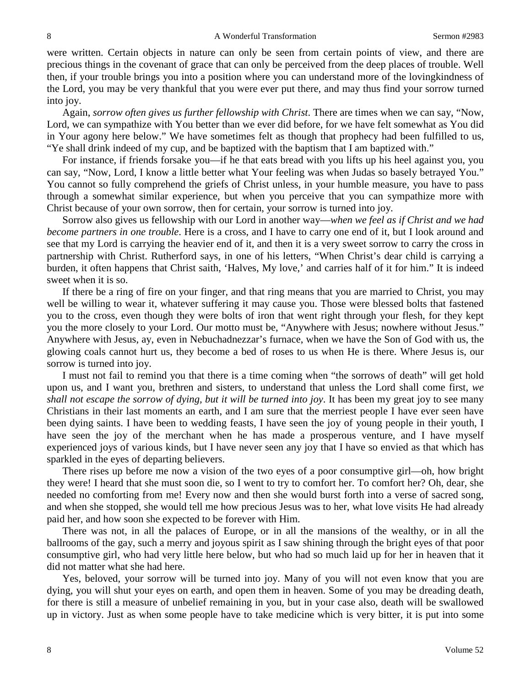were written. Certain objects in nature can only be seen from certain points of view, and there are precious things in the covenant of grace that can only be perceived from the deep places of trouble. Well then, if your trouble brings you into a position where you can understand more of the lovingkindness of the Lord, you may be very thankful that you were ever put there, and may thus find your sorrow turned into joy.

Again, *sorrow often gives us further fellowship with Christ*. There are times when we can say, "Now, Lord, we can sympathize with You better than we ever did before, for we have felt somewhat as You did in Your agony here below." We have sometimes felt as though that prophecy had been fulfilled to us, "Ye shall drink indeed of my cup, and be baptized with the baptism that I am baptized with."

For instance, if friends forsake you—if he that eats bread with you lifts up his heel against you, you can say, "Now, Lord, I know a little better what Your feeling was when Judas so basely betrayed You." You cannot so fully comprehend the griefs of Christ unless, in your humble measure, you have to pass through a somewhat similar experience, but when you perceive that you can sympathize more with Christ because of your own sorrow, then for certain, your sorrow is turned into joy.

Sorrow also gives us fellowship with our Lord in another way—*when we feel as if Christ and we had become partners in one trouble*. Here is a cross, and I have to carry one end of it, but I look around and see that my Lord is carrying the heavier end of it, and then it is a very sweet sorrow to carry the cross in partnership with Christ. Rutherford says, in one of his letters, "When Christ's dear child is carrying a burden, it often happens that Christ saith, 'Halves, My love,' and carries half of it for him." It is indeed sweet when it is so.

If there be a ring of fire on your finger, and that ring means that you are married to Christ, you may well be willing to wear it, whatever suffering it may cause you. Those were blessed bolts that fastened you to the cross, even though they were bolts of iron that went right through your flesh, for they kept you the more closely to your Lord. Our motto must be, "Anywhere with Jesus; nowhere without Jesus." Anywhere with Jesus, ay, even in Nebuchadnezzar's furnace, when we have the Son of God with us, the glowing coals cannot hurt us, they become a bed of roses to us when He is there. Where Jesus is, our sorrow is turned into joy.

I must not fail to remind you that there is a time coming when "the sorrows of death" will get hold upon us, and I want you, brethren and sisters, to understand that unless the Lord shall come first, *we shall not escape the sorrow of dying, but it will be turned into joy*. It has been my great joy to see many Christians in their last moments an earth, and I am sure that the merriest people I have ever seen have been dying saints. I have been to wedding feasts, I have seen the joy of young people in their youth, I have seen the joy of the merchant when he has made a prosperous venture, and I have myself experienced joys of various kinds, but I have never seen any joy that I have so envied as that which has sparkled in the eyes of departing believers.

There rises up before me now a vision of the two eyes of a poor consumptive girl—oh, how bright they were! I heard that she must soon die, so I went to try to comfort her. To comfort her? Oh, dear, she needed no comforting from me! Every now and then she would burst forth into a verse of sacred song, and when she stopped, she would tell me how precious Jesus was to her, what love visits He had already paid her, and how soon she expected to be forever with Him.

There was not, in all the palaces of Europe, or in all the mansions of the wealthy, or in all the ballrooms of the gay, such a merry and joyous spirit as I saw shining through the bright eyes of that poor consumptive girl, who had very little here below, but who had so much laid up for her in heaven that it did not matter what she had here.

Yes, beloved, your sorrow will be turned into joy. Many of you will not even know that you are dying, you will shut your eyes on earth, and open them in heaven. Some of you may be dreading death, for there is still a measure of unbelief remaining in you, but in your case also, death will be swallowed up in victory. Just as when some people have to take medicine which is very bitter, it is put into some